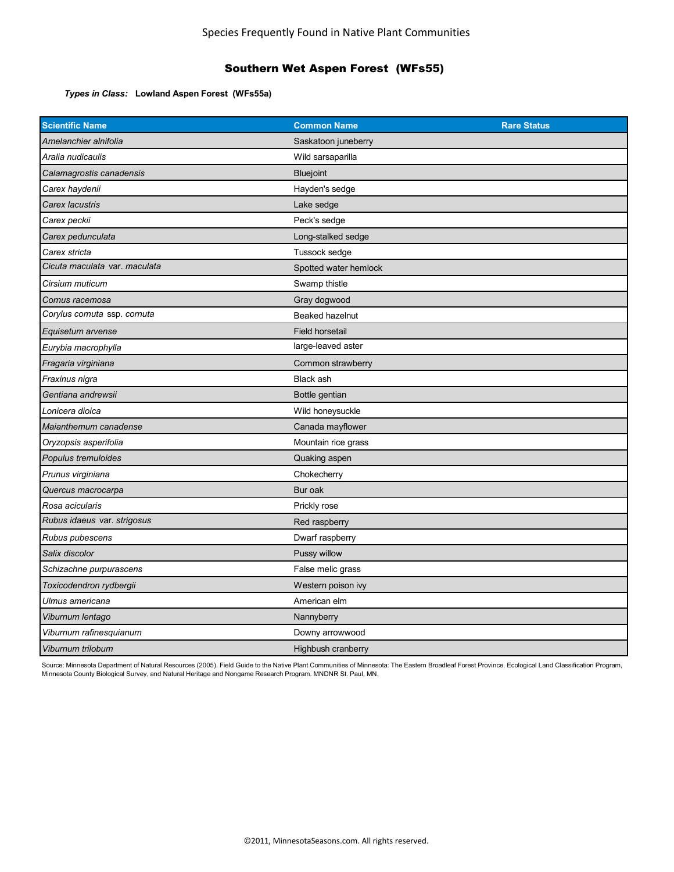## Southern Wet Aspen Forest (WFs55)

*Types in Class:* **Lowland Aspen Forest (WFs55a)**

| <b>Scientific Name</b>        | <b>Common Name</b>    | <b>Rare Status</b> |
|-------------------------------|-----------------------|--------------------|
| Amelanchier alnifolia         | Saskatoon juneberry   |                    |
| Aralia nudicaulis             | Wild sarsaparilla     |                    |
| Calamagrostis canadensis      | <b>Bluejoint</b>      |                    |
| Carex haydenii                | Hayden's sedge        |                    |
| Carex lacustris               | Lake sedge            |                    |
| Carex peckii                  | Peck's sedge          |                    |
| Carex pedunculata             | Long-stalked sedge    |                    |
| Carex stricta                 | Tussock sedge         |                    |
| Cicuta maculata var. maculata | Spotted water hemlock |                    |
| Cirsium muticum               | Swamp thistle         |                    |
| Cornus racemosa               | Gray dogwood          |                    |
| Corylus cornuta ssp. cornuta  | Beaked hazelnut       |                    |
| Equisetum arvense             | Field horsetail       |                    |
| Eurybia macrophylla           | large-leaved aster    |                    |
| Fragaria virginiana           | Common strawberry     |                    |
| Fraxinus nigra                | <b>Black ash</b>      |                    |
| Gentiana andrewsii            | Bottle gentian        |                    |
| Lonicera dioica               | Wild honeysuckle      |                    |
| Maianthemum canadense         | Canada mayflower      |                    |
| Oryzopsis asperifolia         | Mountain rice grass   |                    |
| Populus tremuloides           | Quaking aspen         |                    |
| Prunus virginiana             | Chokecherry           |                    |
| Quercus macrocarpa            | Bur oak               |                    |
| Rosa acicularis               | Prickly rose          |                    |
| Rubus idaeus var. strigosus   | Red raspberry         |                    |
| Rubus pubescens               | Dwarf raspberry       |                    |
| Salix discolor                | Pussy willow          |                    |
| Schizachne purpurascens       | False melic grass     |                    |
| Toxicodendron rydbergii       | Western poison ivy    |                    |
| Ulmus americana               | American elm          |                    |
| Viburnum lentago              | Nannyberry            |                    |
| Viburnum rafinesquianum       | Downy arrowwood       |                    |
| Viburnum trilobum             | Highbush cranberry    |                    |

Source: Minnesota Department of Natural Resources (2005). Field Guide to the Native Plant Communities of Minnesota: The Eastern Broadleaf Forest Province. Ecological Land Classification Program, Minnesota County Biological Survey, and Natural Heritage and Nongame Research Program. MNDNR St. Paul, MN.